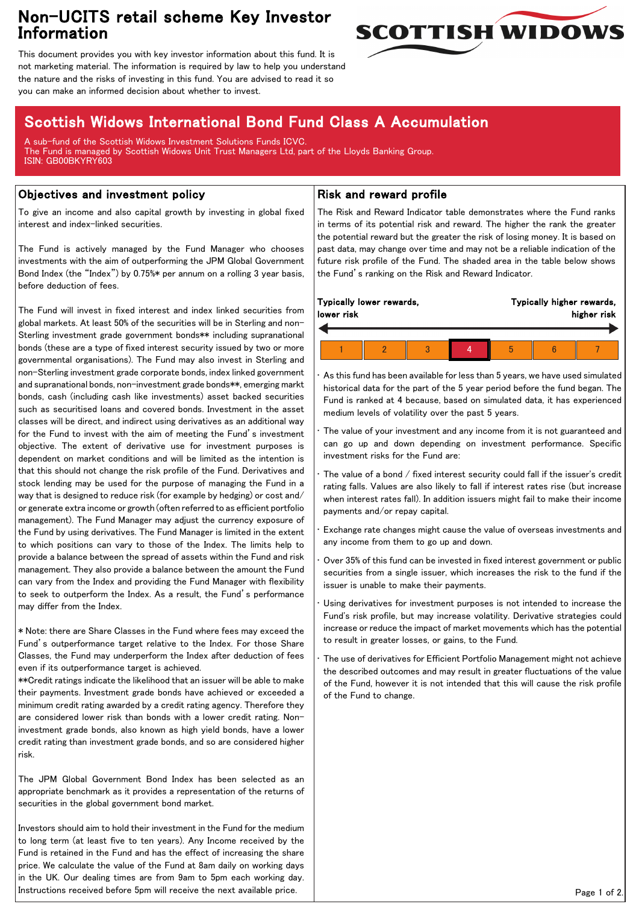## Non-UCITS retail scheme Key Investor Information



This document provides you with key investor information about this fund. It is not marketing material. The information is required by law to help you understand the nature and the risks of investing in this fund. You are advised to read it so you can make an informed decision about whether to invest.

# Scottish Widows International Bond Fund Class A Accumulation

A sub-fund of the Scottish Widows Investment Solutions Funds ICVC. The Fund is managed by Scottish Widows Unit Trust Managers Ltd, part of the Lloyds Banking Group. ISIN: GB00BKYRY603

### Objectives and investment policy

To give an income and also capital growth by investing in global fixed interest and index-linked securities.

The Fund is actively managed by the Fund Manager who chooses investments with the aim of outperforming the JPM Global Government Bond Index (the "Index") by 0.75%\* per annum on a rolling 3 year basis, before deduction of fees.

The Fund will invest in fixed interest and index linked securities from global markets. At least 50% of the securities will be in Sterling and non-Sterling investment grade government bonds\*\* including supranational bonds (these are a type of fixed interest security issued by two or more governmental organisations). The Fund may also invest in Sterling and non-Sterling investment grade corporate bonds, index linked government and supranational bonds, non-investment grade bonds\*\*, emerging markt bonds, cash (including cash like investments) asset backed securities such as securitised loans and covered bonds. Investment in the asset classes will be direct, and indirect using derivatives as an additional way for the Fund to invest with the aim of meeting the Fund's investment objective. The extent of derivative use for investment purposes is dependent on market conditions and will be limited as the intention is that this should not change the risk profile of the Fund. Derivatives and stock lending may be used for the purpose of managing the Fund in a way that is designed to reduce risk (for example by hedging) or cost and/ or generate extra income or growth (often referred to as efficient portfolio management). The Fund Manager may adjust the currency exposure of the Fund by using derivatives. The Fund Manager is limited in the extent to which positions can vary to those of the Index. The limits help to provide a balance between the spread of assets within the Fund and risk management. They also provide a balance between the amount the Fund can vary from the Index and providing the Fund Manager with flexibility to seek to outperform the Index. As a result, the Fund's performance may differ from the Index.

\* Note: there are Share Classes in the Fund where fees may exceed the Fund's outperformance target relative to the Index. For those Share Classes, the Fund may underperform the Index after deduction of fees even if its outperformance target is achieved.

\*\*Credit ratings indicate the likelihood that an issuer will be able to make their payments. Investment grade bonds have achieved or exceeded a minimum credit rating awarded by a credit rating agency. Therefore they are considered lower risk than bonds with a lower credit rating. Noninvestment grade bonds, also known as high yield bonds, have a lower credit rating than investment grade bonds, and so are considered higher risk.

The JPM Global Government Bond Index has been selected as an appropriate benchmark as it provides a representation of the returns of securities in the global government bond market.

Investors should aim to hold their investment in the Fund for the medium to long term (at least five to ten years). Any Income received by the Fund is retained in the Fund and has the effect of increasing the share price. We calculate the value of the Fund at 8am daily on working days in the UK. Our dealing times are from 9am to 5pm each working day. Instructions received before 5pm will receive the next available price.

#### Risk and reward profile

The Risk and Reward Indicator table demonstrates where the Fund ranks in terms of its potential risk and reward. The higher the rank the greater the potential reward but the greater the risk of losing money. It is based on past data, may change over time and may not be a reliable indication of the future risk profile of the Fund. The shaded area in the table below shows the Fund's ranking on the Risk and Reward Indicator.

| Typically lower rewards,<br>lower risk |  |  |  | Typically higher rewards,<br>higher risk |  |  |
|----------------------------------------|--|--|--|------------------------------------------|--|--|
|                                        |  |  |  |                                          |  |  |
|                                        |  |  |  |                                          |  |  |

• As this fund has been available for less than 5 years, we have used simulated historical data for the part of the 5 year period before the fund began. The Fund is ranked at 4 because, based on simulated data, it has experienced medium levels of volatility over the past 5 years.

The value of your investment and any income from it is not guaranteed and can go up and down depending on investment performance. Specific investment risks for the Fund are:

The value of a bond / fixed interest security could fall if the issuer's credit rating falls. Values are also likely to fall if interest rates rise (but increase when interest rates fall). In addition issuers might fail to make their income payments and/or repay capital.

• Exchange rate changes might cause the value of overseas investments and any income from them to go up and down.

• Over 35% of this fund can be invested in fixed interest government or public securities from a single issuer, which increases the risk to the fund if the issuer is unable to make their payments.

Using derivatives for investment purposes is not intended to increase the Fund's risk profile, but may increase volatility. Derivative strategies could increase or reduce the impact of market movements which has the potential to result in greater losses, or gains, to the Fund.

• The use of derivatives for Efficient Portfolio Management might not achieve the described outcomes and may result in greater fluctuations of the value of the Fund, however it is not intended that this will cause the risk profile of the Fund to change.